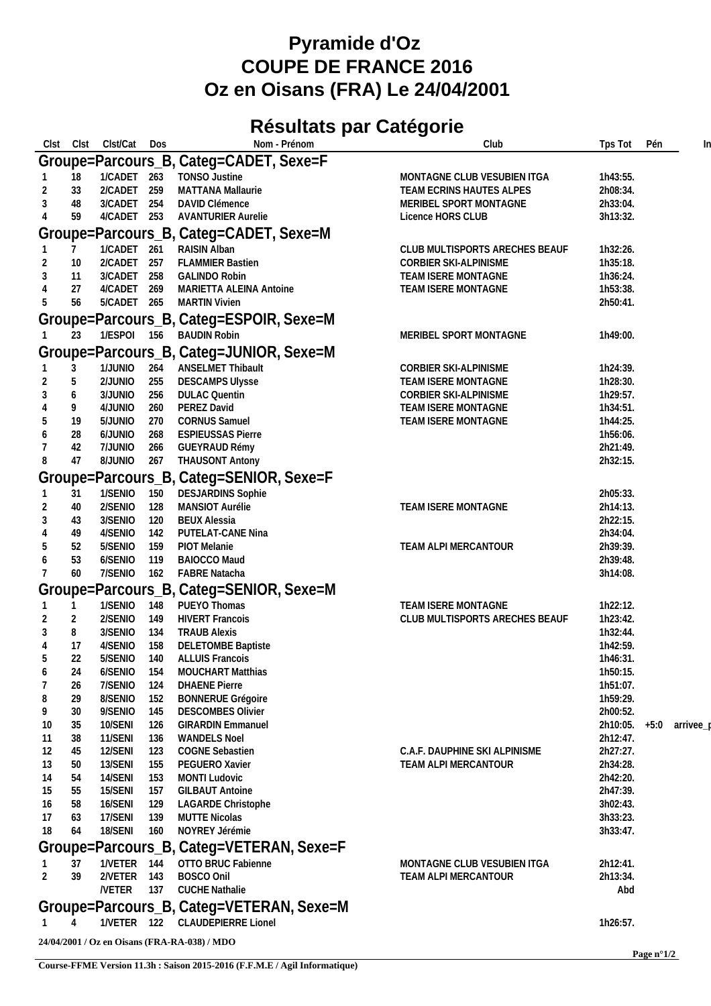## **Pyramide d'Oz COUPE DE FRANCE 2016 Oz en Oisans (FRA) Le 24/04/2001**

## **Résultats par Catégorie**

| Clst<br>Clst                           | Clst/Cat Dos       |  |            | Nom - Prénom                                        | Club                           | Tps Tot              | Pén | In        |  |  |  |  |
|----------------------------------------|--------------------|--|------------|-----------------------------------------------------|--------------------------------|----------------------|-----|-----------|--|--|--|--|
|                                        |                    |  |            | Groupe=Parcours_B, Categ=CADET, Sexe=F              |                                |                      |     |           |  |  |  |  |
| 18                                     | 1/CADET 263        |  |            | TONSO Justine                                       | MONTAGNE CLUB VESUBIEN ITGA    | 1h43:55.             |     |           |  |  |  |  |
| 33                                     | 2/CADET 259        |  |            | MATTANA Mallaurie                                   | TEAM ECRINS HAUTES ALPES       | 2h08:34.             |     |           |  |  |  |  |
| 48                                     | 3/CADET 254        |  |            | DAVID Clémence                                      | MERIBEL SPORT MONTAGNE         | 2h33:04.             |     |           |  |  |  |  |
| 59                                     | 4/CADET 253        |  |            | <b>AVANTURIER Aurelie</b>                           | Licence HORS CLUB              | 3h13:32.             |     |           |  |  |  |  |
| Groupe=Parcours_B, Categ=CADET, Sexe=M |                    |  |            |                                                     |                                |                      |     |           |  |  |  |  |
|                                        | 1/CADET 261        |  |            | RAISIN Alban                                        | CLUB MULTISPORTS ARECHES BEAUF | 1h32:26.             |     |           |  |  |  |  |
| 10                                     | 2/CADET 257        |  |            | <b>FLAMMIER Bastien</b>                             | CORBIER SKI-ALPINISME          | 1h35:18.             |     |           |  |  |  |  |
| 11<br>3                                | 3/CADET 258        |  |            | <b>GALINDO Robin</b>                                | TEAM ISERE MONTAGNE            | 1h36:24.             |     |           |  |  |  |  |
| 27                                     | 4/CADET 269        |  |            | MARIETTA ALEINA Antoine                             | TEAM ISERE MONTAGNE            | 1h53:38.             |     |           |  |  |  |  |
| 56<br>5                                | 5/CADET 265        |  |            | <b>MARTIN Vivien</b>                                |                                | 2h50:41.             |     |           |  |  |  |  |
|                                        |                    |  |            | Groupe=Parcours_B, Categ=ESPOIR, Sexe=M             |                                |                      |     |           |  |  |  |  |
| 23                                     | 1/ESPOI 156        |  |            | <b>BAUDIN Robin</b>                                 | MERIBEL SPORT MONTAGNE         | 1h49:00.             |     |           |  |  |  |  |
|                                        |                    |  |            | Groupe=Parcours_B, Categ=JUNIOR, Sexe=M             |                                |                      |     |           |  |  |  |  |
| 3                                      | 1/JUNIO            |  | 264        | ANSELMET Thibault                                   | CORBIER SKI-ALPINISME          | 1h24:39.             |     |           |  |  |  |  |
| 5                                      | 2/JUNIO            |  | 255        | <b>DESCAMPS Ulysse</b>                              | TEAM ISERE MONTAGNE            | 1h28:30.             |     |           |  |  |  |  |
| 6<br>3                                 | 3/JUNIO            |  | 256        | <b>DULAC Quentin</b>                                | CORBIER SKI-ALPINISME          | 1h29:57.             |     |           |  |  |  |  |
| 9                                      | 4/JUNIO            |  | 260        | PEREZ David                                         | TEAM ISERE MONTAGNE            | 1h34:51.             |     |           |  |  |  |  |
| 19<br>5<br>28<br>6                     | 5/JUNIO<br>6/JUNIO |  | 270<br>268 | <b>CORNUS Samuel</b><br><b>ESPIEUSSAS Pierre</b>    | TEAM ISERE MONTAGNE            | 1h44:25.<br>1h56:06. |     |           |  |  |  |  |
| 42                                     | 7/JUNIO            |  | 266        | <b>GUEYRAUD Rémy</b>                                |                                | 2h21:49.             |     |           |  |  |  |  |
| 47<br>8                                | <b>OINUC</b>       |  | 267        | <b>THAUSONT Antony</b>                              |                                | 2h32:15.             |     |           |  |  |  |  |
|                                        |                    |  |            | Groupe=Parcours_B, Categ=SENIOR, Sexe=F             |                                |                      |     |           |  |  |  |  |
| 31                                     | 1/SENIO 150        |  |            | <b>DESJARDINS Sophie</b>                            |                                | 2h05:33.             |     |           |  |  |  |  |
| 40                                     | 2/SENIO            |  | 128        | MANSIOT Aurélie                                     | TEAM ISERE MONTAGNE            | 2h14:13.             |     |           |  |  |  |  |
| 3<br>43                                | 3/SENIO            |  | 120        | <b>BEUX Alessia</b>                                 |                                | 2h22:15.             |     |           |  |  |  |  |
| 49                                     | 4/SENIO            |  | 142        | PUTELAT-CANE Nina                                   |                                | 2h34:04.             |     |           |  |  |  |  |
| 52                                     | 5/SENIO            |  | 159        | PIOT Melanie                                        | TEAM ALPI MERCANTOUR           | 2h39:39.             |     |           |  |  |  |  |
| 53<br>6                                | 6/SENIO            |  | 119        | BAIOCCO Maud                                        |                                | 2h39:48.             |     |           |  |  |  |  |
| 60                                     | 7/SENIO            |  | 162        | <b>FABRE Natacha</b>                                |                                | 3h14:08.             |     |           |  |  |  |  |
|                                        |                    |  |            | Groupe=Parcours_B, Categ=SENIOR, Sexe=M             |                                |                      |     |           |  |  |  |  |
| 1                                      | 1/SENIO            |  | 148        | PUEYO Thomas                                        | TEAM ISERE MONTAGNE            | 1h22:12.             |     |           |  |  |  |  |
| $\overline{2}$                         | 2/SENIO            |  | 149        | <b>HIVERT Francois</b>                              | CLUB MULTISPORTS ARECHES BEAUF | 1h23:42.             |     |           |  |  |  |  |
| 8<br>3                                 | 3/SENIO            |  | 134        | <b>TRAUB Alexis</b>                                 |                                | 1h32:44.             |     |           |  |  |  |  |
| 17<br>4<br>22<br>5                     | 4/SENIO<br>5/SENIO |  | 158<br>140 | <b>DELETOMBE Baptiste</b><br><b>ALLUIS Francois</b> |                                | 1h42:59.<br>1h46:31. |     |           |  |  |  |  |
| 24                                     | 6/SENIO 154        |  |            | MOUCHART Matthias                                   |                                | 1h50:15.             |     |           |  |  |  |  |
| 26                                     | 7/SENIO            |  | 124        | <b>DHAENE Pierre</b>                                |                                | 1h51:07.             |     |           |  |  |  |  |
| 8<br>29                                | 8/SENIO            |  | 152        | <b>BONNERUE Grégoire</b>                            |                                | 1h59:29.             |     |           |  |  |  |  |
| 9<br>30                                | 9/SENIO            |  | 145        | <b>DESCOMBES Olivier</b>                            |                                | 2h00:52.             |     |           |  |  |  |  |
| 35<br>10                               | 10/SENI            |  | 126        | <b>GIRARDIN Emmanuel</b>                            |                                | $2h10:05. +5:0$      |     | arrivee_p |  |  |  |  |
| 38<br>11                               | 11/SENI            |  | 136        | <b>WANDELS Noel</b>                                 |                                | 2h12:47.             |     |           |  |  |  |  |
| 45<br>12                               | 12/SENI            |  | 123        | COGNE Sebastien                                     | C.A.F. DAUPHINE SKI ALPINISME  | 2h27:27.             |     |           |  |  |  |  |
| 50<br>13                               | 13/SENI            |  | 155        | PEGUERO Xavier                                      | TEAM ALPI MERCANTOUR           | 2h34:28.             |     |           |  |  |  |  |
| 54<br>14<br>15<br>55                   | 14/SENI<br>15/SENI |  | 153<br>157 | MONTI Ludovic<br><b>GILBAUT Antoine</b>             |                                | 2h42:20.<br>2h47:39. |     |           |  |  |  |  |
| 58<br>16                               | 16/SENI            |  | 129        | LAGARDE Christophe                                  |                                | 3h02:43.             |     |           |  |  |  |  |
| 17<br>63                               | 17/SENI            |  | 139        | <b>MUTTE Nicolas</b>                                |                                | 3h33:23.             |     |           |  |  |  |  |
| 64<br>18                               | 18/SENI            |  | 160        | NOYREY Jérémie                                      |                                | 3h33:47.             |     |           |  |  |  |  |
|                                        |                    |  |            | Groupe=Parcours_B, Categ=VETERAN, Sexe=F            |                                |                      |     |           |  |  |  |  |
| 37                                     | 1/VETER 144        |  |            | OTTO BRUC Fabienne                                  | MONTAGNE CLUB VESUBIEN ITGA    | 2h12:41.             |     |           |  |  |  |  |
| 2<br>39                                | 2/VETER 143        |  |            | BOSCO Onil                                          | <b>TEAM ALPI MERCANTOUR</b>    | 2h13:34.             |     |           |  |  |  |  |
|                                        | /VETER 137         |  |            | <b>CUCHE Nathalie</b>                               |                                | Abd                  |     |           |  |  |  |  |
|                                        |                    |  |            | Groupe=Parcours_B, Categ=VETERAN, Sexe=M            |                                |                      |     |           |  |  |  |  |
|                                        |                    |  |            | 1/VETER 122 CLAUDEPIERRE Lionel                     |                                | 1h26:57.             |     |           |  |  |  |  |
|                                        |                    |  |            |                                                     |                                |                      |     |           |  |  |  |  |
|                                        |                    |  |            | 24/04/2001 / Oz en Oisans (FRA-RA-038) / MDO        |                                |                      |     |           |  |  |  |  |